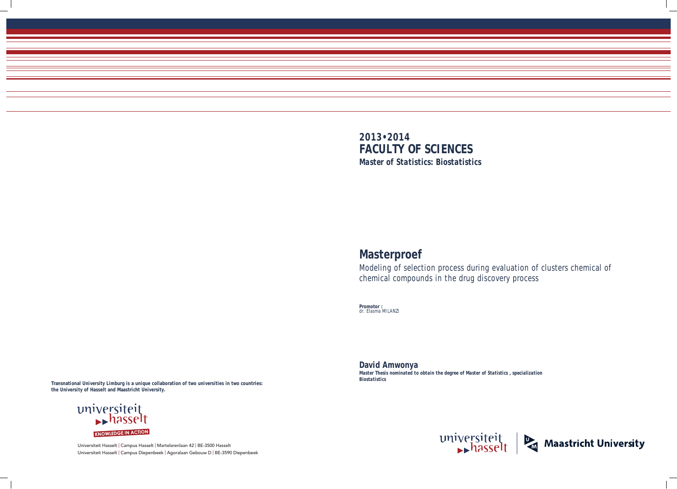Universiteit Hasselt | Campus Hasselt | Martelarenlaan 42 | BE-3500 Hasselt Universiteit Hasselt | Campus Diepenbeek | Agoralaan Gebouw D | BE-3590 Diepenbeek









# **Masterproef**

Modeling of selection process during evaluation of clusters chemical of chemical compounds in the drug discovery process

**Promotor :** dr. Elasma MILANZI

**David Amwonya**  *Master Thesis nominated to obtain the degree of Master of Statistics , specialization Biostatistics*

**Transnational University Limburg is a unique collaboration of two universities in two countries: the University of Hasselt and Maastricht University.**

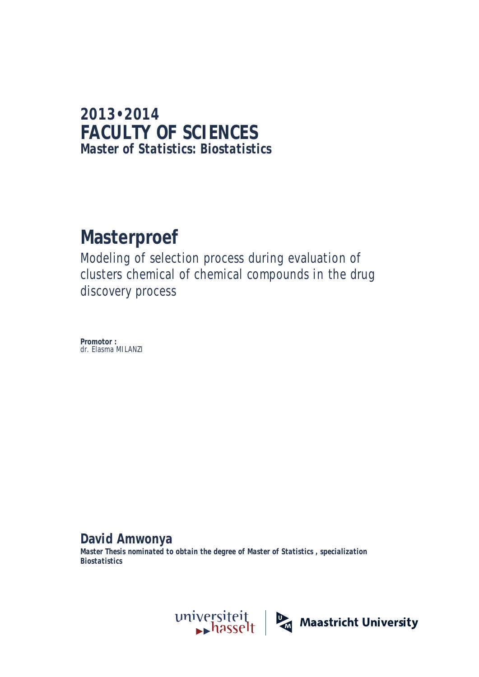# **2013•2014 FACULTY OF SCIENCES** *Master of Statistics: Biostatistics*

# **Masterproef**

Modeling of selection process during evaluation of clusters chemical of chemical compounds in the drug discovery process

**Promotor :** dr. Elasma MILANZI

**David Amwonya** 

*Master Thesis nominated to obtain the degree of Master of Statistics , specialization Biostatistics*

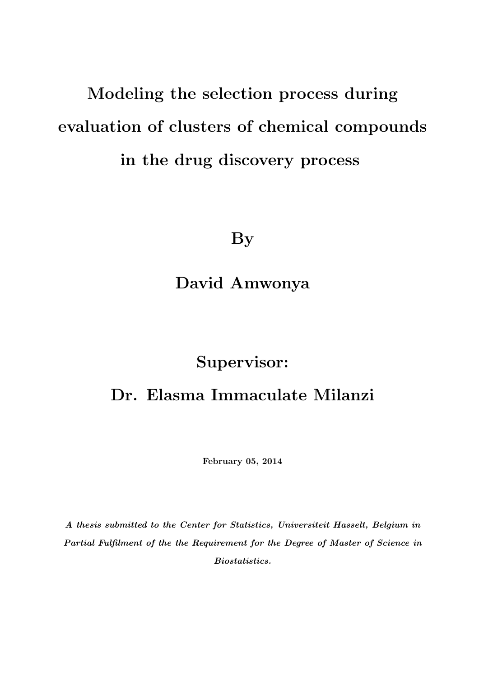# Modeling the selection process during evaluation of clusters of chemical compounds in the drug discovery process

By

David Amwonya

# Supervisor:

# Dr. Elasma Immaculate Milanzi

February 05, 2014

A thesis submitted to the Center for Statistics, Universiteit Hasselt, Belgium in Partial Fulfilment of the the Requirement for the Degree of Master of Science in Biostatistics.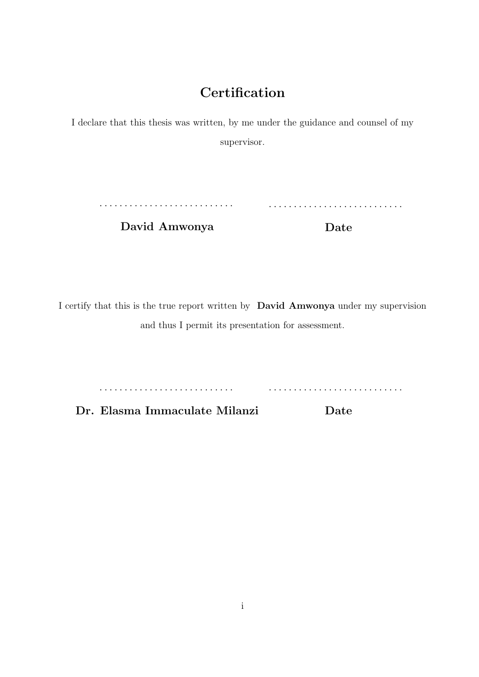### **Certification**

I declare that this thesis was written, by me under the guidance and counsel of my supervisor.

. . . . . . . . . . . . . . . . . . . . . . . . . . . . . . . . . . . . . . . . . . . . . . . . . . . . . .

David Amwonya

Date

I certify that this is the true report written by David Amwonya under my supervision and thus I permit its presentation for assessment.

. . . . . . . . . . . . . . . . . . . . . . . . . . . . . . . . . . . . . . . . . . . . . . . . . . . . . .

Dr. Elasma Immaculate Milanzi Date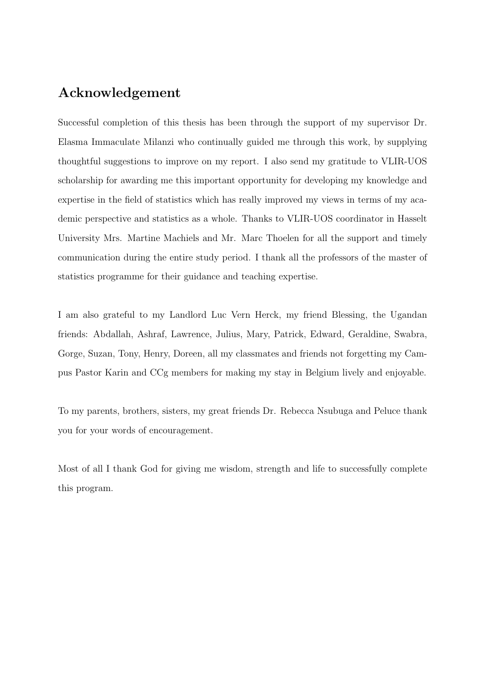### Acknowledgement

Successful completion of this thesis has been through the support of my supervisor Dr. Elasma Immaculate Milanzi who continually guided me through this work, by supplying thoughtful suggestions to improve on my report. I also send my gratitude to VLIR-UOS scholarship for awarding me this important opportunity for developing my knowledge and expertise in the field of statistics which has really improved my views in terms of my academic perspective and statistics as a whole. Thanks to VLIR-UOS coordinator in Hasselt University Mrs. Martine Machiels and Mr. Marc Thoelen for all the support and timely communication during the entire study period. I thank all the professors of the master of statistics programme for their guidance and teaching expertise.

I am also grateful to my Landlord Luc Vern Herck, my friend Blessing, the Ugandan friends: Abdallah, Ashraf, Lawrence, Julius, Mary, Patrick, Edward, Geraldine, Swabra, Gorge, Suzan, Tony, Henry, Doreen, all my classmates and friends not forgetting my Campus Pastor Karin and CCg members for making my stay in Belgium lively and enjoyable.

To my parents, brothers, sisters, my great friends Dr. Rebecca Nsubuga and Peluce thank you for your words of encouragement.

Most of all I thank God for giving me wisdom, strength and life to successfully complete this program.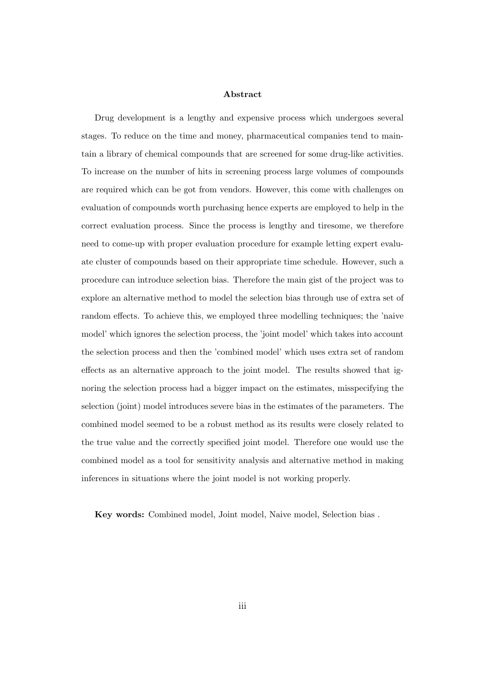#### Abstract

Drug development is a lengthy and expensive process which undergoes several stages. To reduce on the time and money, pharmaceutical companies tend to maintain a library of chemical compounds that are screened for some drug-like activities. To increase on the number of hits in screening process large volumes of compounds are required which can be got from vendors. However, this come with challenges on evaluation of compounds worth purchasing hence experts are employed to help in the correct evaluation process. Since the process is lengthy and tiresome, we therefore need to come-up with proper evaluation procedure for example letting expert evaluate cluster of compounds based on their appropriate time schedule. However, such a procedure can introduce selection bias. Therefore the main gist of the project was to explore an alternative method to model the selection bias through use of extra set of random effects. To achieve this, we employed three modelling techniques; the 'naive model' which ignores the selection process, the 'joint model' which takes into account the selection process and then the 'combined model' which uses extra set of random effects as an alternative approach to the joint model. The results showed that ignoring the selection process had a bigger impact on the estimates, misspecifying the selection (joint) model introduces severe bias in the estimates of the parameters. The combined model seemed to be a robust method as its results were closely related to the true value and the correctly specified joint model. Therefore one would use the combined model as a tool for sensitivity analysis and alternative method in making inferences in situations where the joint model is not working properly.

Key words: Combined model, Joint model, Naive model, Selection bias .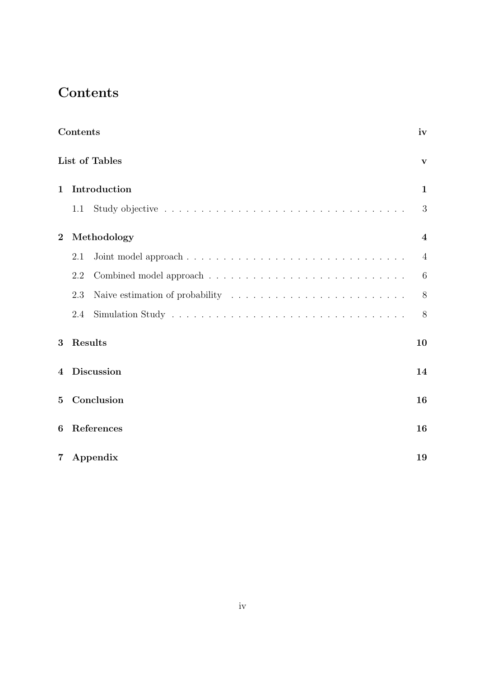# Contents

|                 | Contents       |                       | iv                      |  |  |  |
|-----------------|----------------|-----------------------|-------------------------|--|--|--|
|                 |                | <b>List of Tables</b> | $\mathbf{V}$            |  |  |  |
| $\mathbf{1}$    |                | Introduction          |                         |  |  |  |
|                 | 1.1            |                       | 3                       |  |  |  |
| $\overline{2}$  |                | Methodology           | $\overline{\mathbf{4}}$ |  |  |  |
|                 | 2.1            |                       | $\overline{4}$          |  |  |  |
|                 | 2.2            |                       | 6                       |  |  |  |
|                 | 2.3            |                       | 8                       |  |  |  |
|                 | 2.4            |                       | 8                       |  |  |  |
| 3               |                | Results               | 10                      |  |  |  |
| $\bf 4$         | Discussion     |                       |                         |  |  |  |
| $5\overline{)}$ |                | Conclusion            | 16                      |  |  |  |
| 6               | References     |                       |                         |  |  |  |
| $7\degree$      | Appendix<br>19 |                       |                         |  |  |  |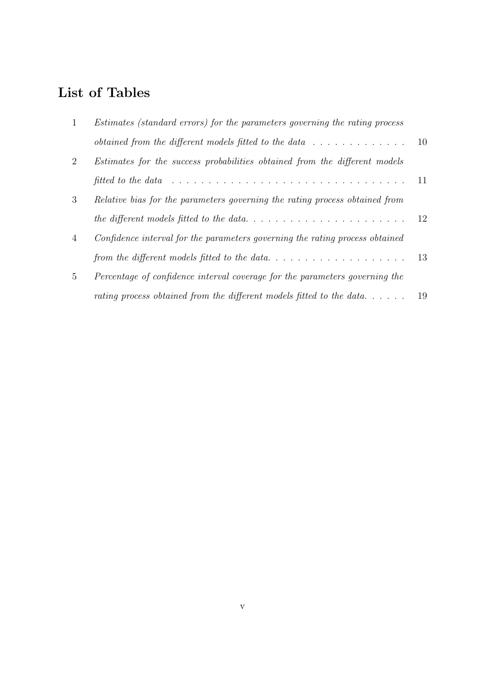## List of Tables

| $\mathbf{1}$   | Estimates (standard errors) for the parameters governing the rating process                                        |    |
|----------------|--------------------------------------------------------------------------------------------------------------------|----|
|                |                                                                                                                    |    |
| $\overline{2}$ | Estimates for the success probabilities obtained from the different models                                         |    |
|                | fitted to the data $\ldots \ldots \ldots \ldots \ldots \ldots \ldots \ldots \ldots \ldots \ldots \ldots \ldots 11$ |    |
| 3              | Relative bias for the parameters governing the rating process obtained from                                        |    |
|                |                                                                                                                    |    |
| $\overline{4}$ | Confidence interval for the parameters governing the rating process obtained                                       |    |
|                |                                                                                                                    |    |
| $\frac{5}{2}$  | Percentage of confidence interval coverage for the parameters governing the                                        |    |
|                | rating process obtained from the different models fitted to the data                                               | 19 |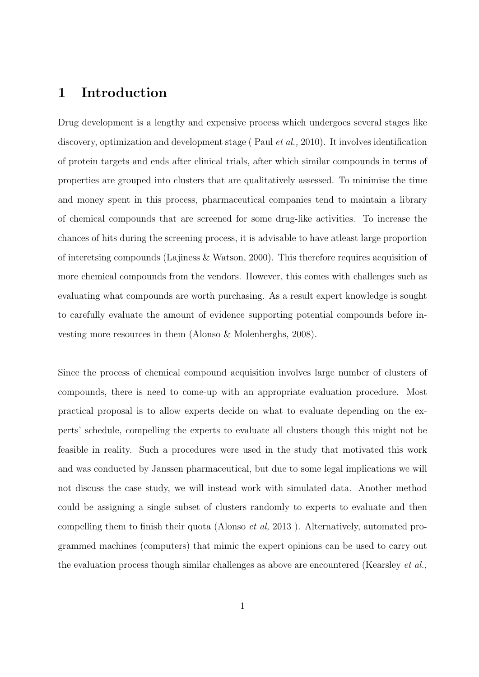#### 1 Introduction

Drug development is a lengthy and expensive process which undergoes several stages like discovery, optimization and development stage (Paul *et al.*, 2010). It involves identification of protein targets and ends after clinical trials, after which similar compounds in terms of properties are grouped into clusters that are qualitatively assessed. To minimise the time and money spent in this process, pharmaceutical companies tend to maintain a library of chemical compounds that are screened for some drug-like activities. To increase the chances of hits during the screening process, it is advisable to have atleast large proportion of interetsing compounds (Lajiness & Watson, 2000). This therefore requires acquisition of more chemical compounds from the vendors. However, this comes with challenges such as evaluating what compounds are worth purchasing. As a result expert knowledge is sought to carefully evaluate the amount of evidence supporting potential compounds before investing more resources in them (Alonso & Molenberghs, 2008).

Since the process of chemical compound acquisition involves large number of clusters of compounds, there is need to come-up with an appropriate evaluation procedure. Most practical proposal is to allow experts decide on what to evaluate depending on the experts' schedule, compelling the experts to evaluate all clusters though this might not be feasible in reality. Such a procedures were used in the study that motivated this work and was conducted by Janssen pharmaceutical, but due to some legal implications we will not discuss the case study, we will instead work with simulated data. Another method could be assigning a single subset of clusters randomly to experts to evaluate and then compelling them to finish their quota (Alonso et al, 2013 ). Alternatively, automated programmed machines (computers) that mimic the expert opinions can be used to carry out the evaluation process though similar challenges as above are encountered (Kearsley et al.,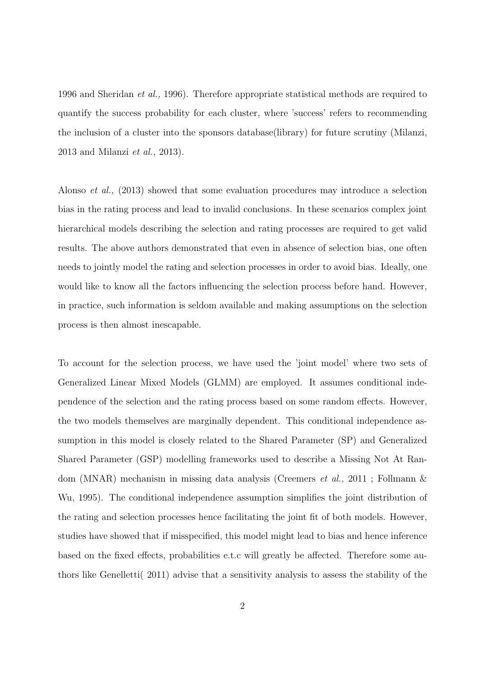1996 and Sheridan et al., 1996). Therefore appropriate statistical methods are required to quantify the success probability for each cluster, where 'success' refers to recommending the inclusion of a cluster into the sponsors database(library) for future scrutiny (Milanzi, 2013 and Milanzi et al., 2013).

Alonso et al., (2013) showed that some evaluation procedures may introduce a selection bias in the rating process and lead to invalid conclusions. In these scenarios complex joint hierarchical models describing the selection and rating processes are required to get valid results. The above authors demonstrated that even in absence of selection bias, one often needs to jointly model the rating and selection processes in order to avoid bias. Ideally, one would like to know all the factors influencing the selection process before hand. However, in practice, such information is seldom available and making assumptions on the selection process is then almost inescapable.

To account for the selection process, we have used the 'joint model' where two sets of Generalized Linear Mixed Models (GLMM) are employed. It assumes conditional independence of the selection and the rating process based on some random effects. However, the two models themselves are marginally dependent. This conditional independence assumption in this model is closely related to the Shared Parameter (SP) and Generalized Shared Parameter (GSP) modelling frameworks used to describe a Missing Not At Random (MNAR) mechanism in missing data analysis (Creemers et al., 2011 ; Follmann & Wu, 1995). The conditional independence assumption simplifies the joint distribution of the rating and selection processes hence facilitating the joint fit of both models. However, studies have showed that if misspecified, this model might lead to bias and hence inference based on the fixed effects, probabilities e.t.c will greatly be affected. Therefore some authors like Genelletti( 2011) advise that a sensitivity analysis to assess the stability of the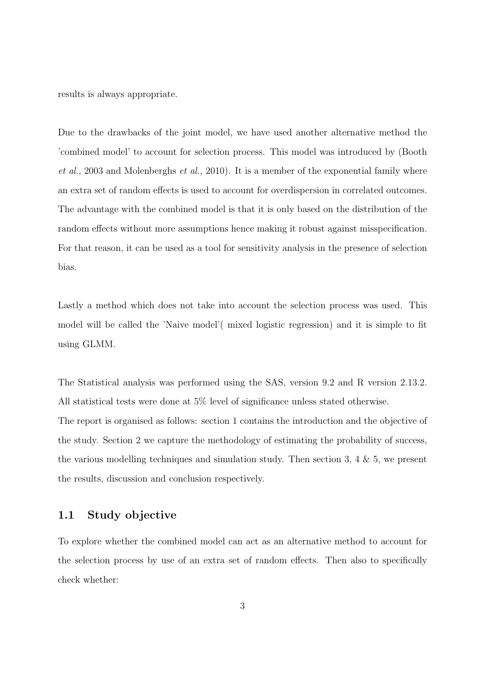results is always appropriate.

Due to the drawbacks of the joint model, we have used another alternative method the 'combined model' to account for selection process. This model was introduced by (Booth et al., 2003 and Molenberghs et al., 2010). It is a member of the exponential family where an extra set of random effects is used to account for overdispersion in correlated outcomes. The advantage with the combined model is that it is only based on the distribution of the random effects without more assumptions hence making it robust against misspecification. For that reason, it can be used as a tool for sensitivity analysis in the presence of selection bias.

Lastly a method which does not take into account the selection process was used. This model will be called the 'Naive model'( mixed logistic regression) and it is simple to fit using GLMM.

The Statistical analysis was performed using the SAS, version 9.2 and R version 2.13.2. All statistical tests were done at 5% level of significance unless stated otherwise. The report is organised as follows: section 1 contains the introduction and the objective of the study. Section 2 we capture the methodology of estimating the probability of success, the various modelling techniques and simulation study. Then section 3, 4  $\&$  5, we present the results, discussion and conclusion respectively.

#### 1.1 Study objective

To explore whether the combined model can act as an alternative method to account for the selection process by use of an extra set of random effects. Then also to specifically check whether: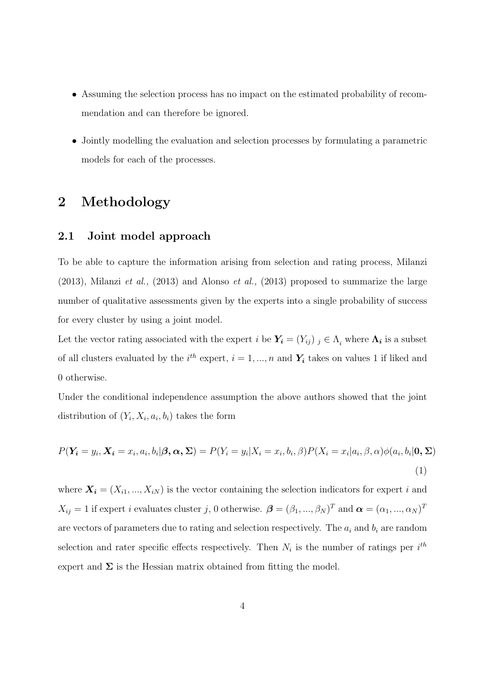- Assuming the selection process has no impact on the estimated probability of recommendation and can therefore be ignored.
- Jointly modelling the evaluation and selection processes by formulating a parametric models for each of the processes.

### 2 Methodology

#### 2.1 Joint model approach

To be able to capture the information arising from selection and rating process, Milanzi (2013), Milanzi et al., (2013) and Alonso et al., (2013) proposed to summarize the large number of qualitative assessments given by the experts into a single probability of success for every cluster by using a joint model.

Let the vector rating associated with the expert  $i$  be  $Y_i = (Y_{ij})$   $j \in \Lambda_i$  where  $\Lambda_i$  is a subset of all clusters evaluated by the  $i^{th}$  expert,  $i = 1, ..., n$  and  $Y_i$  takes on values 1 if liked and 0 otherwise.

Under the conditional independence assumption the above authors showed that the joint distribution of  $(Y_i, X_i, a_i, b_i)$  takes the form

$$
P(\mathbf{Y_i} = y_i, \mathbf{X_i} = x_i, a_i, b_i | \boldsymbol{\beta}, \boldsymbol{\alpha}, \boldsymbol{\Sigma}) = P(Y_i = y_i | X_i = x_i, b_i, \boldsymbol{\beta}) P(X_i = x_i | a_i, \boldsymbol{\beta}, \boldsymbol{\alpha}) \phi(a_i, b_i | \mathbf{0}, \boldsymbol{\Sigma})
$$
\n(1)

where  $\mathbf{X_i} = (X_{i1}, ..., X_{iN})$  is the vector containing the selection indicators for expert i and  $X_{ij} = 1$  if expert i evaluates cluster j, 0 otherwise.  $\boldsymbol{\beta} = (\beta_1, ..., \beta_N)^T$  and  $\boldsymbol{\alpha} = (\alpha_1, ..., \alpha_N)^T$ are vectors of parameters due to rating and selection respectively. The  $a_i$  and  $b_i$  are random selection and rater specific effects respectively. Then  $N_i$  is the number of ratings per  $i^{th}$ expert and  $\Sigma$  is the Hessian matrix obtained from fitting the model.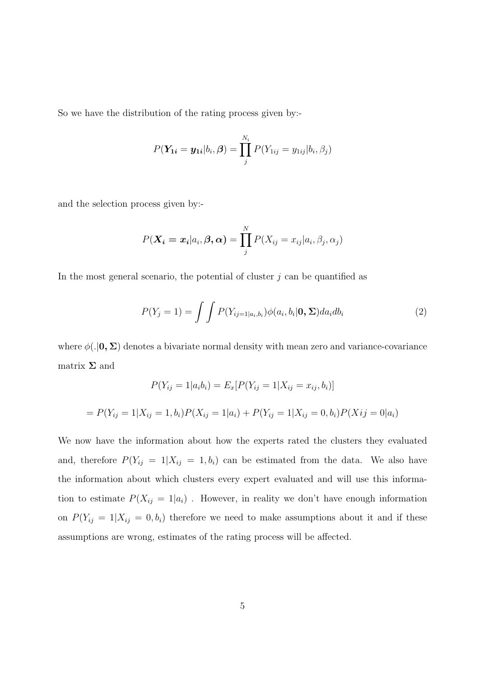So we have the distribution of the rating process given by:-

$$
P(\mathbf{Y_{1i}} = \mathbf{y_{1i}} | b_i, \boldsymbol{\beta}) = \prod_j^{N_i} P(Y_{1ij} = y_{1ij} | b_i, \beta_j)
$$

and the selection process given by:-

$$
P(\boldsymbol{X_i}=\boldsymbol{x_i}|a_i,\boldsymbol{\beta},\boldsymbol{\alpha})=\prod_j^N P(X_{ij}=x_{ij}|a_i,\beta_j,\alpha_j)
$$

In the most general scenario, the potential of cluster  $j$  can be quantified as

$$
P(Y_j = 1) = \int \int P(Y_{ij=1|a_i,b_i}) \phi(a_i, b_i | \mathbf{0}, \Sigma) da_i db_i \tag{2}
$$

where  $\phi(.|\mathbf{0}, \Sigma)$  denotes a bivariate normal density with mean zero and variance-covariance matrix  $\Sigma$  and

$$
P(Y_{ij} = 1 | a_i b_i) = E_x [P(Y_{ij} = 1 | X_{ij} = x_{ij}, b_i)]
$$

$$
= P(Y_{ij} = 1 | X_{ij} = 1, b_i) P(X_{ij} = 1 | a_i) + P(Y_{ij} = 1 | X_{ij} = 0, b_i) P(X_{ij} = 0 | a_i)
$$

We now have the information about how the experts rated the clusters they evaluated and, therefore  $P(Y_{ij} = 1 | X_{ij} = 1, b_i)$  can be estimated from the data. We also have the information about which clusters every expert evaluated and will use this information to estimate  $P(X_{ij} = 1|a_i)$ . However, in reality we don't have enough information on  $P(Y_{ij} = 1 | X_{ij} = 0, b_i)$  therefore we need to make assumptions about it and if these assumptions are wrong, estimates of the rating process will be affected.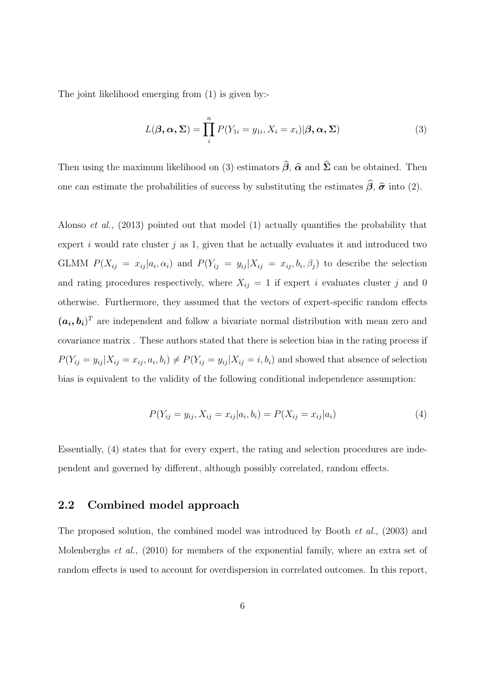The joint likelihood emerging from (1) is given by:-

$$
L(\boldsymbol{\beta}, \boldsymbol{\alpha}, \boldsymbol{\Sigma}) = \prod_{i}^{n} P(Y_{1i} = y_{1i}, X_i = x_i) | \boldsymbol{\beta}, \boldsymbol{\alpha}, \boldsymbol{\Sigma})
$$
(3)

Then using the maximum likelihood on (3) estimators  $\hat{\beta}$ ,  $\hat{\alpha}$  and  $\hat{\Sigma}$  can be obtained. Then one can estimate the probabilities of success by substituting the estimates  $\hat{\beta}$ ,  $\hat{\sigma}$  into (2).

Alonso et al., (2013) pointed out that model (1) actually quantifies the probability that expert i would rate cluster j as 1, given that he actually evaluates it and introduced two GLMM  $P(X_{ij} = x_{ij} | a_i, \alpha_i)$  and  $P(Y_{ij} = y_{ij} | X_{ij} = x_{ij}, b_i, \beta_j)$  to describe the selection and rating procedures respectively, where  $X_{ij} = 1$  if expert i evaluates cluster j and 0 otherwise. Furthermore, they assumed that the vectors of expert-specific random effects  $(a_i, b_i)^T$  are independent and follow a bivariate normal distribution with mean zero and covariance matrix . These authors stated that there is selection bias in the rating process if  $P(Y_{ij} = y_{ij} | X_{ij} = x_{ij}, a_i, b_i) \neq P(Y_{ij} = y_{ij} | X_{ij} = i, b_i)$  and showed that absence of selection bias is equivalent to the validity of the following conditional independence assumption:

$$
P(Y_{ij} = y_{ij}, X_{ij} = x_{ij}|a_i, b_i) = P(X_{ij} = x_{ij}|a_i)
$$
\n(4)

Essentially, (4) states that for every expert, the rating and selection procedures are independent and governed by different, although possibly correlated, random effects.

#### 2.2 Combined model approach

The proposed solution, the combined model was introduced by Booth et al., (2003) and Molenberghs et al., (2010) for members of the exponential family, where an extra set of random effects is used to account for overdispersion in correlated outcomes. In this report,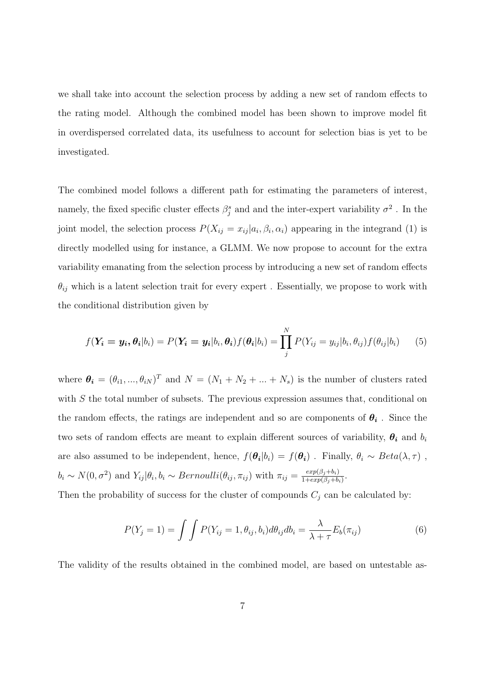we shall take into account the selection process by adding a new set of random effects to the rating model. Although the combined model has been shown to improve model fit in overdispersed correlated data, its usefulness to account for selection bias is yet to be investigated.

The combined model follows a different path for estimating the parameters of interest, namely, the fixed specific cluster effects  $\beta_j^s$  and and the inter-expert variability  $\sigma^2$ . In the joint model, the selection process  $P(X_{ij} = x_{ij} | a_i, \beta_i, \alpha_i)$  appearing in the integrand (1) is directly modelled using for instance, a GLMM. We now propose to account for the extra variability emanating from the selection process by introducing a new set of random effects  $\theta_{ij}$  which is a latent selection trait for every expert. Essentially, we propose to work with the conditional distribution given by

$$
f(\mathbf{Y_i} = \mathbf{y_i}, \theta_i | b_i) = P(\mathbf{Y_i} = \mathbf{y_i} | b_i, \theta_i) f(\theta_i | b_i) = \prod_j^N P(Y_{ij} = y_{ij} | b_i, \theta_{ij}) f(\theta_{ij} | b_i)
$$
(5)

where  $\theta_i = (\theta_{i1}, ..., \theta_{iN})^T$  and  $N = (N_1 + N_2 + ... + N_s)$  is the number of clusters rated with S the total number of subsets. The previous expression assumes that, conditional on the random effects, the ratings are independent and so are components of  $\theta_i$ . Since the two sets of random effects are meant to explain different sources of variability,  $\theta_i$  and  $b_i$ are also assumed to be independent, hence,  $f(\theta_i|b_i) = f(\theta_i)$ . Finally,  $\theta_i \sim Beta(\lambda, \tau)$ ,  $b_i \sim N(0, \sigma^2)$  and  $Y_{ij} | \theta_i, b_i \sim Bernoulli(\theta_{ij}, \pi_{ij})$  with  $\pi_{ij} = \frac{exp(\beta_j + b_i)}{1 + exp(\beta_i + b_i)}$  $\frac{exp(\beta_j+b_i)}{1+exp(\beta_j+b_i)}$ .

Then the probability of success for the cluster of compounds  $C_j$  can be calculated by:

$$
P(Y_j = 1) = \int \int P(Y_{ij} = 1, \theta_{ij}, b_i) d\theta_{ij} db_i = \frac{\lambda}{\lambda + \tau} E_b(\pi_{ij})
$$
(6)

The validity of the results obtained in the combined model, are based on untestable as-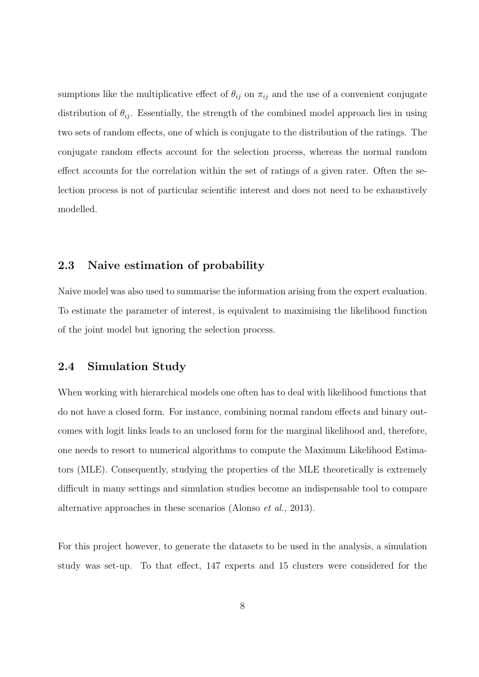sumptions like the multiplicative effect of  $\theta_{ij}$  on  $\pi_{ij}$  and the use of a convenient conjugate distribution of  $\theta_{ij}$ . Essentially, the strength of the combined model approach lies in using two sets of random effects, one of which is conjugate to the distribution of the ratings. The conjugate random effects account for the selection process, whereas the normal random effect accounts for the correlation within the set of ratings of a given rater. Often the selection process is not of particular scientific interest and does not need to be exhaustively modelled.

#### 2.3 Naive estimation of probability

Naive model was also used to summarise the information arising from the expert evaluation. To estimate the parameter of interest, is equivalent to maximising the likelihood function of the joint model but ignoring the selection process.

#### 2.4 Simulation Study

When working with hierarchical models one often has to deal with likelihood functions that do not have a closed form. For instance, combining normal random effects and binary outcomes with logit links leads to an unclosed form for the marginal likelihood and, therefore, one needs to resort to numerical algorithms to compute the Maximum Likelihood Estimators (MLE). Consequently, studying the properties of the MLE theoretically is extremely difficult in many settings and simulation studies become an indispensable tool to compare alternative approaches in these scenarios (Alonso et al., 2013).

For this project however, to generate the datasets to be used in the analysis, a simulation study was set-up. To that effect, 147 experts and 15 clusters were considered for the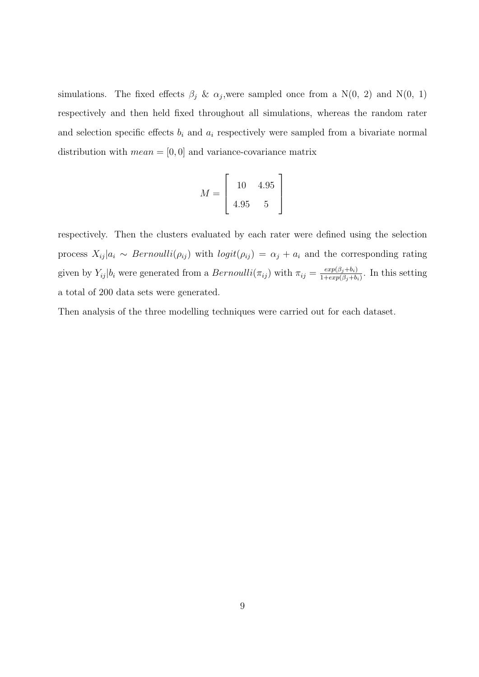simulations. The fixed effects  $\beta_j$  &  $\alpha_j$ , were sampled once from a N(0, 2) and N(0, 1) respectively and then held fixed throughout all simulations, whereas the random rater and selection specific effects  $b_i$  and  $a_i$  respectively were sampled from a bivariate normal distribution with  $mean = [0, 0]$  and variance-covariance matrix

$$
M = \left[ \begin{array}{cc} 10 & 4.95 \\ 4.95 & 5 \end{array} \right]
$$

respectively. Then the clusters evaluated by each rater were defined using the selection process  $X_{ij} | a_i \sim Bernoulli(\rho_{ij})$  with  $logit(\rho_{ij}) = \alpha_j + a_i$  and the corresponding rating given by  $Y_{ij}|b_i$  were generated from a  $Bernoulli(\pi_{ij})$  with  $\pi_{ij} = \frac{exp(\beta_j + b_i)}{1 + exp(\beta_i + b_i)}$  $\frac{exp(\beta_j+0_i)}{1+exp(\beta_j+b_i)}$ . In this setting a total of 200 data sets were generated.

Then analysis of the three modelling techniques were carried out for each dataset.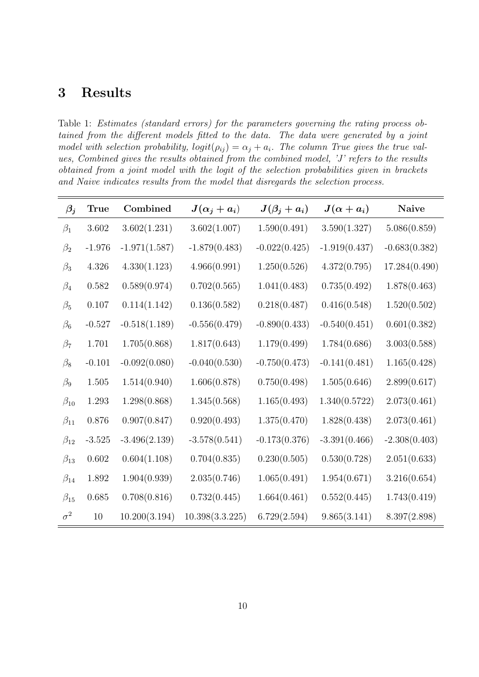### 3 Results

Table 1: Estimates (standard errors) for the parameters governing the rating process obtained from the different models fitted to the data. The data were generated by a joint model with selection probability,  $logit(\rho_{ij}) = \alpha_j + a_i$ . The column True gives the true values, Combined gives the results obtained from the combined model, 'J' refers to the results obtained from a joint model with the logit of the selection probabilities given in brackets and Naive indicates results from the model that disregards the selection process.

| $\beta_j$    | <b>True</b> | Combined        | $J(\alpha_j + a_i)$ | $J(\beta_j + a_i)$ | $J(\alpha + a_i)$ | <b>Naive</b>    |
|--------------|-------------|-----------------|---------------------|--------------------|-------------------|-----------------|
| $\beta_1$    | 3.602       | 3.602(1.231)    | 3.602(1.007)        | 1.590(0.491)       | 3.590(1.327)      | 5.086(0.859)    |
| $\beta_2$    | $-1.976$    | $-1.971(1.587)$ | $-1.879(0.483)$     | $-0.022(0.425)$    | $-1.919(0.437)$   | $-0.683(0.382)$ |
| $\beta_3$    | 4.326       | 4.330(1.123)    | 4.966(0.991)        | 1.250(0.526)       | 4.372(0.795)      | 17.284(0.490)   |
| $\beta_4$    | 0.582       | 0.589(0.974)    | 0.702(0.565)        | 1.041(0.483)       | 0.735(0.492)      | 1.878(0.463)    |
| $\beta_5$    | 0.107       | 0.114(1.142)    | 0.136(0.582)        | 0.218(0.487)       | 0.416(0.548)      | 1.520(0.502)    |
| $\beta_6$    | $-0.527$    | $-0.518(1.189)$ | $-0.556(0.479)$     | $-0.890(0.433)$    | $-0.540(0.451)$   | 0.601(0.382)    |
| $\beta_7$    | 1.701       | 1.705(0.868)    | 1.817(0.643)        | 1.179(0.499)       | 1.784(0.686)      | 3.003(0.588)    |
| $\beta_8$    | $-0.101$    | $-0.092(0.080)$ | $-0.040(0.530)$     | $-0.750(0.473)$    | $-0.141(0.481)$   | 1.165(0.428)    |
| $\beta_9$    | $1.505\,$   | 1.514(0.940)    | 1.606(0.878)        | 0.750(0.498)       | 1.505(0.646)      | 2.899(0.617)    |
| $\beta_{10}$ | 1.293       | 1.298(0.868)    | 1.345(0.568)        | 1.165(0.493)       | 1.340(0.5722)     | 2.073(0.461)    |
| $\beta_{11}$ | 0.876       | 0.907(0.847)    | 0.920(0.493)        | 1.375(0.470)       | 1.828(0.438)      | 2.073(0.461)    |
| $\beta_{12}$ | $-3.525$    | $-3.496(2.139)$ | $-3.578(0.541)$     | $-0.173(0.376)$    | $-3.391(0.466)$   | $-2.308(0.403)$ |
| $\beta_{13}$ | 0.602       | 0.604(1.108)    | 0.704(0.835)        | 0.230(0.505)       | 0.530(0.728)      | 2.051(0.633)    |
| $\beta_{14}$ | 1.892       | 1.904(0.939)    | 2.035(0.746)        | 1.065(0.491)       | 1.954(0.671)      | 3.216(0.654)    |
| $\beta_{15}$ | 0.685       | 0.708(0.816)    | 0.732(0.445)        | 1.664(0.461)       | 0.552(0.445)      | 1.743(0.419)    |
| $\sigma^2$   | $10\,$      | 10.200(3.194)   | 10.398(3.3.225)     | 6.729(2.594)       | 9.865(3.141)      | 8.397(2.898)    |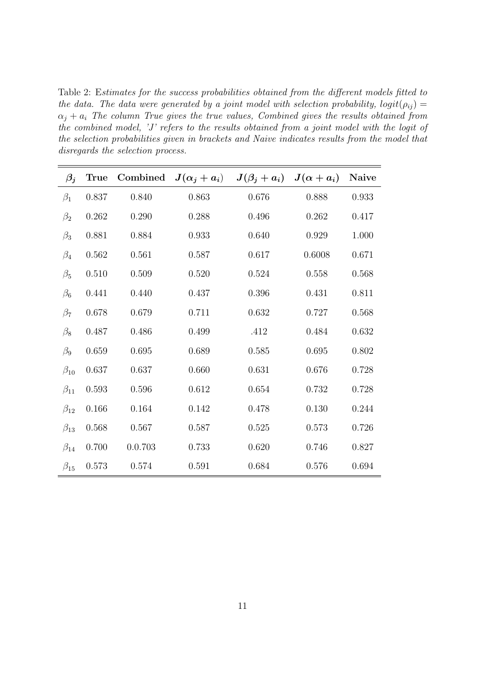Table 2: Estimates for the success probabilities obtained from the different models fitted to the data. The data were generated by a joint model with selection probability,  $logit(\rho_{ii}) =$  $\alpha_j + a_i$  The column True gives the true values, Combined gives the results obtained from the combined model, 'J' refers to the results obtained from a joint model with the logit of the selection probabilities given in brackets and Naive indicates results from the model that disregards the selection process.

| $\beta_j$    | True      |         | Combined $J(\alpha_j + a_i)$ $J(\beta_j + a_i)$ $J(\alpha + a_i)$ |       |        | Naive |
|--------------|-----------|---------|-------------------------------------------------------------------|-------|--------|-------|
| $\beta_1$    | 0.837     | 0.840   | 0.863                                                             | 0.676 | 0.888  | 0.933 |
| $\beta_2$    | $0.262\,$ | 0.290   | 0.288                                                             | 0.496 | 0.262  | 0.417 |
| $\beta_3$    | 0.881     | 0.884   | 0.933                                                             | 0.640 | 0.929  | 1.000 |
| $\beta_4$    | 0.562     | 0.561   | 0.587                                                             | 0.617 | 0.6008 | 0.671 |
| $\beta_5$    | 0.510     | 0.509   | 0.520                                                             | 0.524 | 0.558  | 0.568 |
| $\beta_6$    | 0.441     | 0.440   | 0.437                                                             | 0.396 | 0.431  | 0.811 |
| $\beta_7$    | 0.678     | 0.679   | 0.711                                                             | 0.632 | 0.727  | 0.568 |
| $\beta_8$    | 0.487     | 0.486   | 0.499                                                             | .412  | 0.484  | 0.632 |
| $\beta_9$    | 0.659     | 0.695   | 0.689                                                             | 0.585 | 0.695  | 0.802 |
| $\beta_{10}$ | 0.637     | 0.637   | 0.660                                                             | 0.631 | 0.676  | 0.728 |
| $\beta_{11}$ | 0.593     | 0.596   | 0.612                                                             | 0.654 | 0.732  | 0.728 |
| $\beta_{12}$ | 0.166     | 0.164   | 0.142                                                             | 0.478 | 0.130  | 0.244 |
| $\beta_{13}$ | $0.568\,$ | 0.567   | 0.587                                                             | 0.525 | 0.573  | 0.726 |
| $\beta_{14}$ | 0.700     | 0.0.703 | 0.733                                                             | 0.620 | 0.746  | 0.827 |
| $\beta_{15}$ | 0.573     | 0.574   | 0.591                                                             | 0.684 | 0.576  | 0.694 |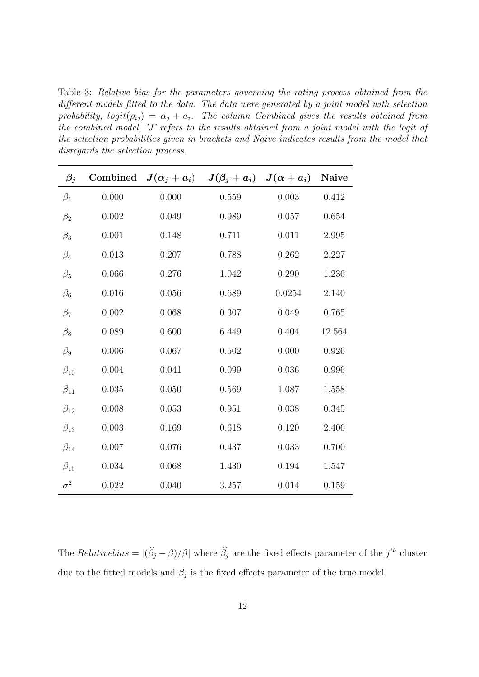Table 3: Relative bias for the parameters governing the rating process obtained from the different models fitted to the data. The data were generated by a joint model with selection probability,  $logit(\rho_{ij}) = \alpha_j + a_i$ . The column Combined gives the results obtained from the combined model, 'J' refers to the results obtained from a joint model with the logit of the selection probabilities given in brackets and Naive indicates results from the model that disregards the selection process.

| $\beta_j$    | Combined  |       | $J(\alpha_i + a_i)$ $J(\beta_i + a_i)$ $J(\alpha + a_i)$ |        | <b>Naive</b> |
|--------------|-----------|-------|----------------------------------------------------------|--------|--------------|
| $\beta_1$    | 0.000     | 0.000 | 0.559                                                    | 0.003  | 0.412        |
| $\beta_2$    | 0.002     | 0.049 | 0.989                                                    | 0.057  | 0.654        |
| $\beta_3$    | 0.001     | 0.148 | 0.711                                                    | 0.011  | 2.995        |
| $\beta_4$    | 0.013     | 0.207 | 0.788                                                    | 0.262  | 2.227        |
| $\beta_5$    | 0.066     | 0.276 | 1.042                                                    | 0.290  | 1.236        |
| $\beta_6$    | 0.016     | 0.056 | 0.689                                                    | 0.0254 | 2.140        |
| $\beta_7$    | 0.002     | 0.068 | $0.307\,$                                                | 0.049  | 0.765        |
| $\beta_8$    | 0.089     | 0.600 | 6.449                                                    | 0.404  | 12.564       |
| $\beta_9$    | 0.006     | 0.067 | 0.502                                                    | 0.000  | 0.926        |
| $\beta_{10}$ | $0.004\,$ | 0.041 | 0.099                                                    | 0.036  | 0.996        |
| $\beta_{11}$ | 0.035     | 0.050 | 0.569                                                    | 1.087  | 1.558        |
| $\beta_{12}$ | 0.008     | 0.053 | 0.951                                                    | 0.038  | 0.345        |
| $\beta_{13}$ | 0.003     | 0.169 | 0.618                                                    | 0.120  | 2.406        |
| $\beta_{14}$ | 0.007     | 0.076 | 0.437                                                    | 0.033  | 0.700        |
| $\beta_{15}$ | 0.034     | 0.068 | 1.430                                                    | 0.194  | 1.547        |
| $\sigma^2$   | 0.022     | 0.040 | 3.257                                                    | 0.014  | 0.159        |

The Relative bias =  $|(\hat{\beta}_j - \beta)/\beta|$  where  $\hat{\beta}_j$  are the fixed effects parameter of the  $j^{th}$  cluster due to the fitted models and  $\beta_j$  is the fixed effects parameter of the true model.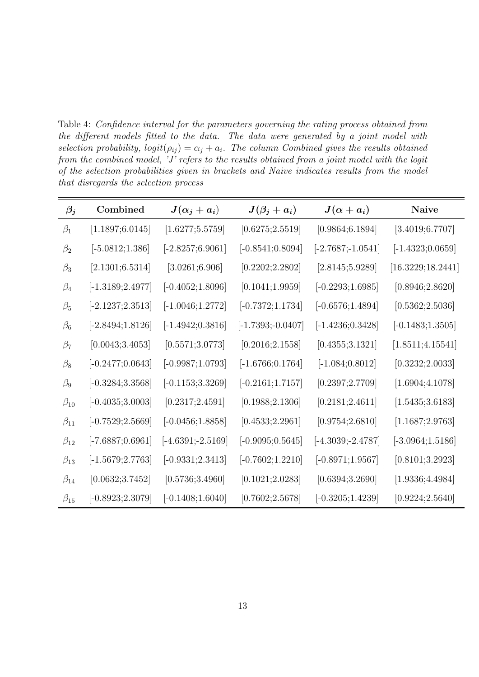Table 4: Confidence interval for the parameters governing the rating process obtained from the different models fitted to the data. The data were generated by a joint model with selection probability,  $logit(\rho_{ij}) = \alpha_j + a_i$ . The column Combined gives the results obtained from the combined model,  $J'$  refers to the results obtained from a joint model with the logit of the selection probabilities given in brackets and Naive indicates results from the model that disregards the selection process

| $\beta_j$    | Combined                        | $J(\alpha_j + a_i)$             | $J(\beta_j + a_i)$            | $J(\alpha + a_i)$               | Naive                            |
|--------------|---------------------------------|---------------------------------|-------------------------------|---------------------------------|----------------------------------|
| $\beta_1$    | $\left[1.1897;6.0145\right]$    | $\left[ 1.6277;5.5759\right]$   | $\left[ 0.6275;2.5519\right]$ | $\left[ 0.9864; 6.1894 \right]$ | $\left[ 3.4019; 6.7707 \right]$  |
| $\beta_2$    | $[-5.0812; 1.386]$              | $[-2.8257; \! 6.9061]$          | $\left[-0.8541;0.8094\right]$ | $[-2.7687; -1.0541]$            | $\left[-1.4323;0.0659\right]$    |
| $\beta_3$    | [2.1301; 6.5314]                | [3.0261; 6.906]                 | $\left[0.2202;2.2802\right]$  | $\left[ 2.8145;5.9289\right]$   | [16.3229;18.2441]                |
| $\beta_4$    | $[-1.3189; \! 2.4977]$          | $\left[-0.4052;1.8096\right]$   | $\left[0.1041;1.9959\right]$  | $\left[-0.2293;1.6985\right]$   | $\left[ 0.8946;2.8620 \right]$   |
| $\beta_5$    | $[-2.1237;2.3513]$              | $[-1.0046; 1.2772]$             | $\left[-0.7372;1.1734\right]$ | $[-0.6576; 1.4894]$             | $\left[ 0.5362;2.5036\right]$    |
| $\beta_6$    | $[-2.8494;1.8126]$              | $[-1.4942; \! 0.3816]$          | $[-1.7393; -0.0407]$          | $[-1.4236; 0.3428]$             | $[-0.1483;1.3505]$               |
| $\beta_7$    | $\left[0.0043 ; 3.4053 \right]$ | $\left[ 0.5571;3.0773\right]$   | $\left[0.2016;2.1558\right]$  | $\left[ 0.4355; 3.1321 \right]$ | $\left[ 1.8511; 4.15541 \right]$ |
| $\beta_8$    | $\left[-0.2477;0.0643\right]$   | $[-0.9987;1.0793]$              | $[-1.6766; 0.1764]$           | $\left[-1.084;0.8012\right]$    | $\left[ 0.3232;2.0033\right]$    |
| $\beta_9$    | $\left[-0.3284;3.3568\right]$   | $\left[-0.1153;3.3269\right]$   | $\left[-0.2161;1.7157\right]$ | $\left[ 0.2397; 2.7709 \right]$ | $\left[ 1.6904; 4.1078 \right]$  |
| $\beta_{10}$ | $[-0.4035; 3.0003]$             | $\left[ 0.2317;2.4591\right]$   | $\left[0.1988;2.1306\right]$  | $\left[ 0.2181;2.4611\right]$   | $\left[ 1.5435; 3.6183 \right]$  |
| $\beta_{11}$ | $[-0.7529;2.5669]$              | $\left[-0.0456; 1.8858\right]$  | $\left[0.4533;2.2961\right]$  | $\left[ 0.9754;2.6810 \right]$  | $\left[1.1687;2.9763\right]$     |
| $\beta_{12}$ | $[-7.6887;0.6961]$              | $[-4.6391; -2.5169]$            | $[-0.9095; 0.5645]$           | $[-4.3039; \!-\! 2.4787]$       | $[-3.0964;1.5186]$               |
| $\beta_{13}$ | $[-1.5679; 2.7763]$             | $\left[-0.9331;2.3413\right]$   | $\left[-0.7602;1.2210\right]$ | $[-0.8971; 1.9567]$             | $\left[ 0.8101;3.2923\right]$    |
| $\beta_{14}$ | $\left[0.0632;3.7452\right]$    | $\left[ 0.5736; 3.4960 \right]$ | $\left[0.1021;2.0283\right]$  | $\left[ 0.6394; 3.2690 \right]$ | $\left[ 1.9336; 4.4984 \right]$  |
| $\beta_{15}$ | $[-0.8923; 2.3079]$             | $[-0.1408;1.6040]$              | $\left[0.7602;2.5678\right]$  | $[-0.3205;1.4239]$              | $\left[ 0.9224;2.5640\right]$    |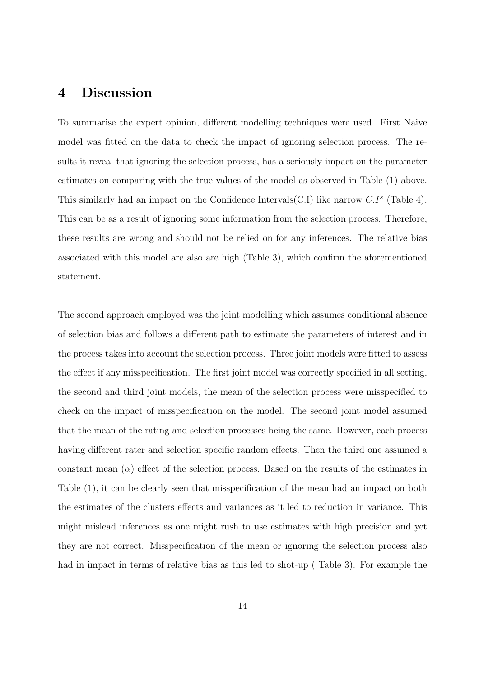#### 4 Discussion

To summarise the expert opinion, different modelling techniques were used. First Naive model was fitted on the data to check the impact of ignoring selection process. The results it reveal that ignoring the selection process, has a seriously impact on the parameter estimates on comparing with the true values of the model as observed in Table (1) above. This similarly had an impact on the Confidence Intervals(C.I) like narrow  $C.I^s$  (Table 4). This can be as a result of ignoring some information from the selection process. Therefore, these results are wrong and should not be relied on for any inferences. The relative bias associated with this model are also are high (Table 3), which confirm the aforementioned statement.

The second approach employed was the joint modelling which assumes conditional absence of selection bias and follows a different path to estimate the parameters of interest and in the process takes into account the selection process. Three joint models were fitted to assess the effect if any misspecification. The first joint model was correctly specified in all setting, the second and third joint models, the mean of the selection process were misspecified to check on the impact of misspecification on the model. The second joint model assumed that the mean of the rating and selection processes being the same. However, each process having different rater and selection specific random effects. Then the third one assumed a constant mean  $(\alpha)$  effect of the selection process. Based on the results of the estimates in Table (1), it can be clearly seen that misspecification of the mean had an impact on both the estimates of the clusters effects and variances as it led to reduction in variance. This might mislead inferences as one might rush to use estimates with high precision and yet they are not correct. Misspecification of the mean or ignoring the selection process also had in impact in terms of relative bias as this led to shot-up ( Table 3). For example the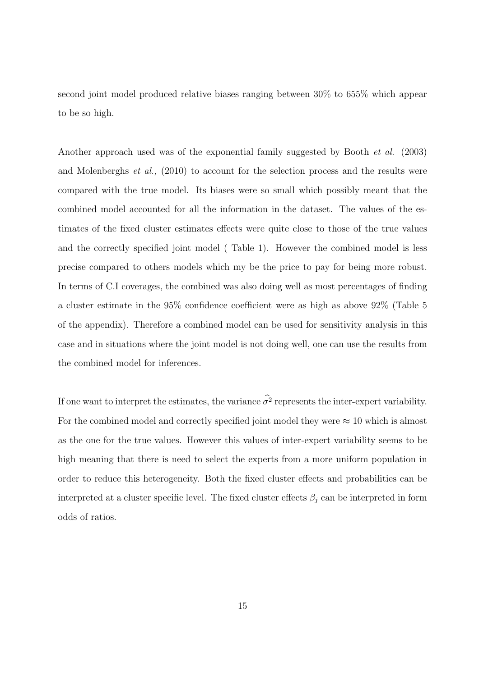second joint model produced relative biases ranging between 30% to 655% which appear to be so high.

Another approach used was of the exponential family suggested by Booth et al. (2003) and Molenberghs et al., (2010) to account for the selection process and the results were compared with the true model. Its biases were so small which possibly meant that the combined model accounted for all the information in the dataset. The values of the estimates of the fixed cluster estimates effects were quite close to those of the true values and the correctly specified joint model ( Table 1). However the combined model is less precise compared to others models which my be the price to pay for being more robust. In terms of C.I coverages, the combined was also doing well as most percentages of finding a cluster estimate in the 95% confidence coefficient were as high as above 92% (Table 5 of the appendix). Therefore a combined model can be used for sensitivity analysis in this case and in situations where the joint model is not doing well, one can use the results from the combined model for inferences.

If one want to interpret the estimates, the variance  $\sigma^2$  represents the inter-expert variability. For the combined model and correctly specified joint model they were  $\approx 10$  which is almost as the one for the true values. However this values of inter-expert variability seems to be high meaning that there is need to select the experts from a more uniform population in order to reduce this heterogeneity. Both the fixed cluster effects and probabilities can be interpreted at a cluster specific level. The fixed cluster effects  $\beta_i$  can be interpreted in form odds of ratios.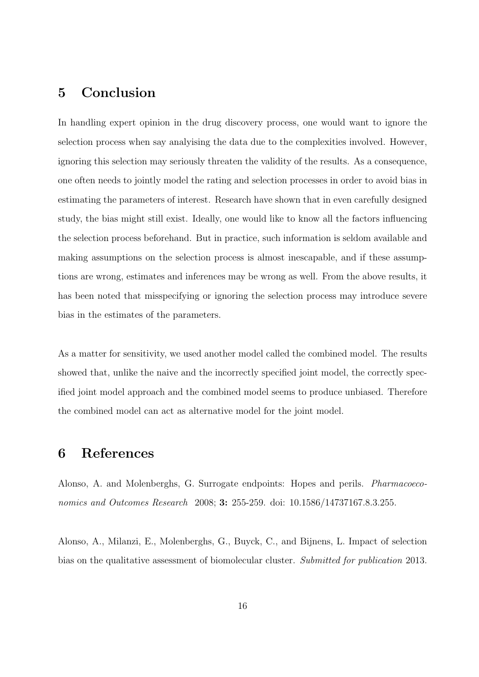### 5 Conclusion

In handling expert opinion in the drug discovery process, one would want to ignore the selection process when say analyising the data due to the complexities involved. However, ignoring this selection may seriously threaten the validity of the results. As a consequence, one often needs to jointly model the rating and selection processes in order to avoid bias in estimating the parameters of interest. Research have shown that in even carefully designed study, the bias might still exist. Ideally, one would like to know all the factors influencing the selection process beforehand. But in practice, such information is seldom available and making assumptions on the selection process is almost inescapable, and if these assumptions are wrong, estimates and inferences may be wrong as well. From the above results, it has been noted that misspecifying or ignoring the selection process may introduce severe bias in the estimates of the parameters.

As a matter for sensitivity, we used another model called the combined model. The results showed that, unlike the naive and the incorrectly specified joint model, the correctly specified joint model approach and the combined model seems to produce unbiased. Therefore the combined model can act as alternative model for the joint model.

### 6 References

Alonso, A. and Molenberghs, G. Surrogate endpoints: Hopes and perils. Pharmacoeconomics and Outcomes Research 2008; **3:** 255-259. doi: 10.1586/14737167.8.3.255.

Alonso, A., Milanzi, E., Molenberghs, G., Buyck, C., and Bijnens, L. Impact of selection bias on the qualitative assessment of biomolecular cluster. Submitted for publication 2013.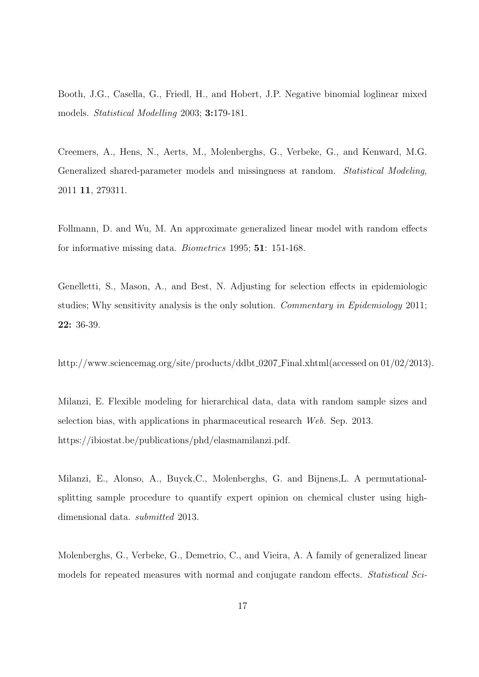Booth, J.G., Casella, G., Friedl, H., and Hobert, J.P. Negative binomial loglinear mixed models. Statistical Modelling 2003; 3:179-181.

Creemers, A., Hens, N., Aerts, M., Molenberghs, G., Verbeke, G., and Kenward, M.G. Generalized shared-parameter models and missingness at random. Statistical Modeling, 2011 11, 279311.

Follmann, D. and Wu, M. An approximate generalized linear model with random effects for informative missing data. Biometrics 1995; 51: 151-168.

Genelletti, S., Mason, A., and Best, N. Adjusting for selection effects in epidemiologic studies; Why sensitivity analysis is the only solution. Commentary in Epidemiology 2011; 22: 36-39.

http://www.sciencemag.org/site/products/ddbt\_0207\_Final.xhtml(accessed on 01/02/2013).

Milanzi, E. Flexible modeling for hierarchical data, data with random sample sizes and selection bias, with applications in pharmaceutical research Web. Sep. 2013. https://ibiostat.be/publications/phd/elasmamilanzi.pdf.

Milanzi, E., Alonso, A., Buyck,C., Molenberghs, G. and Bijnens,L. A permutationalsplitting sample procedure to quantify expert opinion on chemical cluster using highdimensional data. submitted 2013.

Molenberghs, G., Verbeke, G., Demetrio, C., and Vieira, A. A family of generalized linear models for repeated measures with normal and conjugate random effects. Statistical Sci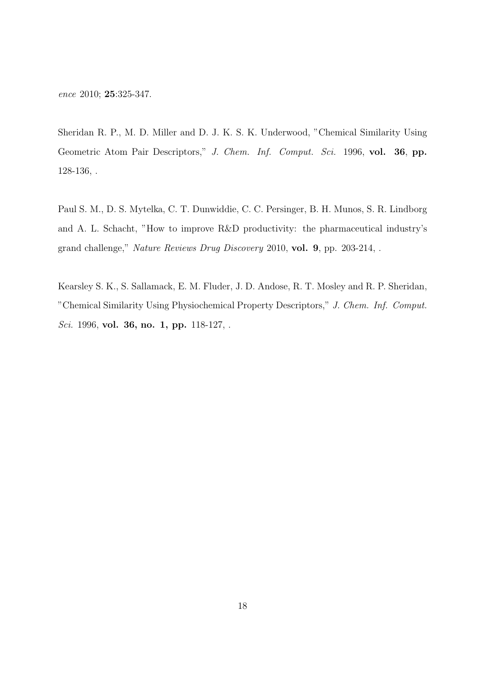ence 2010; 25:325-347.

Sheridan R. P., M. D. Miller and D. J. K. S. K. Underwood, "Chemical Similarity Using Geometric Atom Pair Descriptors," J. Chem. Inf. Comput. Sci. 1996, vol. 36, pp. 128-136, .

Paul S. M., D. S. Mytelka, C. T. Dunwiddie, C. C. Persinger, B. H. Munos, S. R. Lindborg and A. L. Schacht, "How to improve R&D productivity: the pharmaceutical industry's grand challenge," Nature Reviews Drug Discovery 2010, vol. 9, pp. 203-214, .

Kearsley S. K., S. Sallamack, E. M. Fluder, J. D. Andose, R. T. Mosley and R. P. Sheridan, "Chemical Similarity Using Physiochemical Property Descriptors," J. Chem. Inf. Comput. Sci. 1996, vol. 36, no. 1, pp. 118-127, .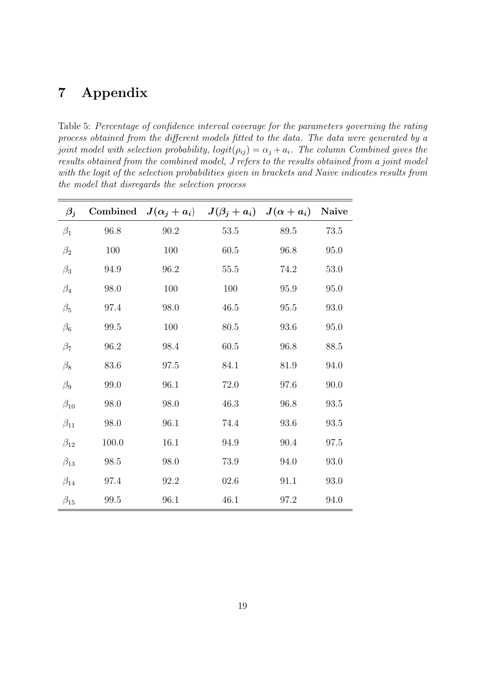### 7 Appendix

Table 5: Percentage of confidence interval coverage for the parameters governing the rating process obtained from the different models fitted to the data. The data were generated by a joint model with selection probability,  $logit(\rho_{ij}) = \alpha_j + a_i$ . The column Combined gives the results obtained from the combined model, J refers to the results obtained from a joint model with the logit of the selection probabilities given in brackets and Naive indicates results from the model that disregards the selection process

| $\beta_j$    |       | Combined $J(\alpha_j + a_i)$ $J(\beta_j + a_i)$ $J(\alpha + a_i)$ |          |          | Naive    |
|--------------|-------|-------------------------------------------------------------------|----------|----------|----------|
| $\beta_1$    | 96.8  | $90.2\,$                                                          | $53.5\,$ | 89.5     | $73.5\,$ |
| $\beta_2$    | 100   | 100                                                               | $60.5\,$ | 96.8     | 95.0     |
| $\beta_3$    | 94.9  | $96.2\,$                                                          | $55.5\,$ | 74.2     | $53.0\,$ |
| $\beta_4$    | 98.0  | 100                                                               | 100      | 95.9     | 95.0     |
| $\beta_5$    | 97.4  | 98.0                                                              | 46.5     | $95.5\,$ | 93.0     |
| $\beta_6$    | 99.5  | 100                                                               | 80.5     | 93.6     | 95.0     |
| $\beta_7$    | 96.2  | 98.4                                                              | $60.5\,$ | 96.8     | 88.5     |
| $\beta_8$    | 83.6  | $97.5\,$                                                          | 84.1     | $81.9\,$ | 94.0     |
| $\beta_9$    | 99.0  | 96.1                                                              | 72.0     | 97.6     | 90.0     |
| $\beta_{10}$ | 98.0  | 98.0                                                              | 46.3     | 96.8     | 93.5     |
| $\beta_{11}$ | 98.0  | 96.1                                                              | 74.4     | 93.6     | 93.5     |
| $\beta_{12}$ | 100.0 | 16.1                                                              | 94.9     | 90.4     | $97.5\,$ |
| $\beta_{13}$ | 98.5  | 98.0                                                              | 73.9     | 94.0     | 93.0     |
| $\beta_{14}$ | 97.4  | 92.2                                                              | 02.6     | 91.1     | 93.0     |
| $\beta_{15}$ | 99.5  | 96.1                                                              | 46.1     | 97.2     | 94.0     |